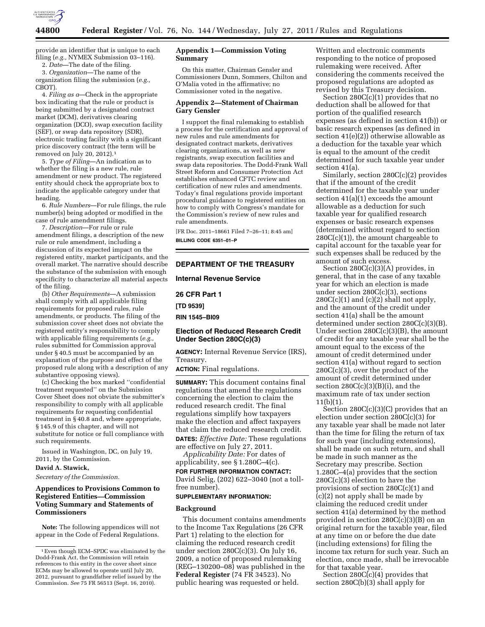

provide an identifier that is unique to each filing (*e.g.,* NYMEX Submission 03–116).

2. *Date*—The date of the filing.

3. *Organization*—The name of the organization filing the submission (*e.g.,*  CBOT).

4. *Filing as a*—Check in the appropriate box indicating that the rule or product is being submitted by a designated contract market (DCM), derivatives clearing organization (DCO), swap execution facility (SEF), or swap data repository (SDR), electronic trading facility with a significant price discovery contract (the term will be removed on July 20, 2012).1

5. *Type of Filing*—An indication as to whether the filing is a new rule, rule amendment or new product. The registered entity should check the appropriate box to indicate the applicable category under that heading.

6. *Rule Numbers*—For rule filings, the rule number(s) being adopted or modified in the case of rule amendment filings.

7. *Description*—For rule or rule amendment filings, a description of the new rule or rule amendment, including a discussion of its expected impact on the registered entity, market participants, and the overall market. The narrative should describe the substance of the submission with enough specificity to characterize all material aspects of the filing.

(b) *Other Requirements*—A submission shall comply with all applicable filing requirements for proposed rules, rule amendments, or products. The filing of the submission cover sheet does not obviate the registered entity's responsibility to comply with applicable filing requirements (*e.g.,*  rules submitted for Commission approval under § 40.5 must be accompanied by an explanation of the purpose and effect of the proposed rule along with a description of any substantive opposing views).

(c) Checking the box marked ''confidential treatment requested'' on the Submission Cover Sheet does not obviate the submitter's responsibility to comply with all applicable requirements for requesting confidential treatment in § 40.8 and, where appropriate, § 145.9 of this chapter, and will not substitute for notice or full compliance with such requirements.

Issued in Washington, DC, on July 19, 2011, by the Commission.

**David A. Stawick,** 

*Secretary of the Commission.* 

## **Appendices to Provisions Common to Registered Entities—Commission Voting Summary and Statements of Commissioners**

**Note:** The following appendices will not appear in the Code of Federal Regulations.

## **Appendix 1—Commission Voting Summary**

On this matter, Chairman Gensler and Commissioners Dunn, Sommers, Chilton and O'Malia voted in the affirmative; no Commissioner voted in the negative.

### **Appendix 2—Statement of Chairman Gary Gensler**

I support the final rulemaking to establish a process for the certification and approval of new rules and rule amendments for designated contract markets, derivatives clearing organizations, as well as new registrants, swap execution facilities and swap data repositories. The Dodd-Frank Wall Street Reform and Consumer Protection Act establishes enhanced CFTC review and certification of new rules and amendments. Today's final regulations provide important procedural guidance to registered entities on how to comply with Congress's mandate for the Commission's review of new rules and rule amendments.

[FR Doc. 2011–18661 Filed 7–26–11; 8:45 am] **BILLING CODE 6351–01–P** 

#### **DEPARTMENT OF THE TREASURY**

**Internal Revenue Service** 

**26 CFR Part 1** 

**[TD 9539]** 

**RIN 1545–BI09** 

# **Election of Reduced Research Credit Under Section 280C(c)(3)**

**AGENCY:** Internal Revenue Service (IRS), Treasury.

**ACTION:** Final regulations.

**SUMMARY:** This document contains final regulations that amend the regulations concerning the election to claim the reduced research credit. The final regulations simplify how taxpayers make the election and affect taxpayers that claim the reduced research credit. **DATES:** *Effective Date:* These regulations are effective on July 27, 2011.

*Applicability Date:* For dates of applicability, see § 1.280C–4(c). **FOR FURTHER INFORMATION CONTACT:**  David Selig, (202) 622–3040 (not a tollfree number).

## **SUPPLEMENTARY INFORMATION:**

## **Background**

This document contains amendments to the Income Tax Regulations (26 CFR Part 1) relating to the election for claiming the reduced research credit under section 280C(c)(3). On July 16, 2009, a notice of proposed rulemaking (REG–130200–08) was published in the **Federal Register** (74 FR 34523). No public hearing was requested or held.

Written and electronic comments responding to the notice of proposed rulemaking were received. After considering the comments received the proposed regulations are adopted as revised by this Treasury decision.

Section 280C(c)(1) provides that no deduction shall be allowed for that portion of the qualified research expenses (as defined in section 41(b)) or basic research expenses (as defined in section 41(e)(2)) otherwise allowable as a deduction for the taxable year which is equal to the amount of the credit determined for such taxable year under section 41(a).

Similarly, section 280C(c)(2) provides that if the amount of the credit determined for the taxable year under section 41(a)(1) exceeds the amount allowable as a deduction for such taxable year for qualified research expenses or basic research expenses (determined without regard to section  $280C(c)(1)$ , the amount chargeable to capital account for the taxable year for such expenses shall be reduced by the amount of such excess.

Section 280C(c)(3)(A) provides, in general, that in the case of any taxable year for which an election is made under section 280C(c)(3), sections  $280C(c)(1)$  and  $(c)(2)$  shall not apply, and the amount of the credit under section 41(a) shall be the amount determined under section 280C(c)(3)(B). Under section  $280C(c)(3)(B)$ , the amount of credit for any taxable year shall be the amount equal to the excess of the amount of credit determined under section 41(a) without regard to section 280C(c)(3), over the product of the amount of credit determined under section  $280C(c)(3)(B)(i)$ , and the maximum rate of tax under section 11(b)(1).

Section  $280C(c)(3)(C)$  provides that an election under section 280C(c)(3) for any taxable year shall be made not later than the time for filing the return of tax for such year (including extensions), shall be made on such return, and shall be made in such manner as the Secretary may prescribe. Section 1.280C–4(a) provides that the section 280C(c)(3) election to have the provisions of section 280C(c)(1) and (c)(2) not apply shall be made by claiming the reduced credit under section 41(a) determined by the method provided in section 280C(c)(3)(B) on an original return for the taxable year, filed at any time on or before the due date (including extensions) for filing the income tax return for such year. Such an election, once made, shall be irrevocable for that taxable year.

Section  $280C(c)(4)$  provides that section 280C(b)(3) shall apply for

<sup>1</sup>Even though ECM–SPDC was eliminated by the Dodd-Frank Act, the Commission will retain references to this entity in the cover sheet since ECMs may be allowed to operate until July 20, 2012, pursuant to grandfather relief issued by the Commission. *See* 75 FR 56513 (Sept. 16, 2010).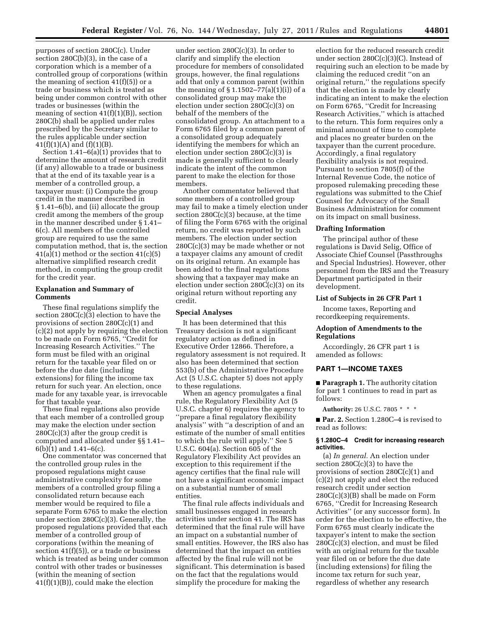purposes of section 280C(c). Under section 280C(b)(3), in the case of a corporation which is a member of a controlled group of corporations (within the meaning of section  $41(f)(5)$  or a trade or business which is treated as being under common control with other trades or businesses (within the meaning of section  $41(f)(1)(B)$ , section 280C(b) shall be applied under rules prescribed by the Secretary similar to the rules applicable under section  $41(f)(1)(A)$  and  $(f)(1)(B)$ .

Section 1.41–6(a)(1) provides that to determine the amount of research credit (if any) allowable to a trade or business that at the end of its taxable year is a member of a controlled group, a taxpayer must: (i) Compute the group credit in the manner described in § 1.41–6(b), and (ii) allocate the group credit among the members of the group in the manner described under § 1.41– 6(c). All members of the controlled group are required to use the same computation method, that is, the section 41(a)(1) method or the section 41(c)(5) alternative simplified research credit method, in computing the group credit for the credit year.

#### **Explanation and Summary of Comments**

These final regulations simplify the section 280C(c)(3) election to have the provisions of section 280C(c)(1) and (c)(2) not apply by requiring the election to be made on Form 6765, ''Credit for Increasing Research Activities.'' The form must be filed with an original return for the taxable year filed on or before the due date (including extensions) for filing the income tax return for such year. An election, once made for any taxable year, is irrevocable for that taxable year.

These final regulations also provide that each member of a controlled group may make the election under section  $280C(c)(3)$  after the group credit is computed and allocated under §§ 1.41– 6(b)(1) and 1.41–6(c).

One commentator was concerned that the controlled group rules in the proposed regulations might cause administrative complexity for some members of a controlled group filing a consolidated return because each member would be required to file a separate Form 6765 to make the election under section 280C(c)(3). Generally, the proposed regulations provided that each member of a controlled group of corporations (within the meaning of section 41(f)(5)), or a trade or business which is treated as being under common control with other trades or businesses (within the meaning of section 41(f)(1)(B)), could make the election

under section 280C(c)(3). In order to clarify and simplify the election procedure for members of consolidated groups, however, the final regulations add that only a common parent (within the meaning of  $\S 1.1502 - 77(a)(1)(i)$  of a consolidated group may make the election under section 280C(c)(3) on behalf of the members of the consolidated group. An attachment to a Form 6765 filed by a common parent of a consolidated group adequately identifying the members for which an election under section 280C(c)(3) is made is generally sufficient to clearly indicate the intent of the common parent to make the election for those members.

Another commentator believed that some members of a controlled group may fail to make a timely election under section 280C(c)(3) because, at the time of filing the Form 6765 with the original return, no credit was reported by such members. The election under section 280C(c)(3) may be made whether or not a taxpayer claims any amount of credit on its original return. An example has been added to the final regulations showing that a taxpayer may make an election under section 280C(c)(3) on its original return without reporting any credit.

#### **Special Analyses**

It has been determined that this Treasury decision is not a significant regulatory action as defined in Executive Order 12866. Therefore, a regulatory assessment is not required. It also has been determined that section 553(b) of the Administrative Procedure Act (5 U.S.C. chapter 5) does not apply to these regulations.

When an agency promulgates a final rule, the Regulatory Flexibility Act (5 U.S.C. chapter 6) requires the agency to ''prepare a final regulatory flexibility analysis'' with ''a description of and an estimate of the number of small entities to which the rule will apply.'' See 5 U.S.C. 604(a). Section 605 of the Regulatory Flexibility Act provides an exception to this requirement if the agency certifies that the final rule will not have a significant economic impact on a substantial number of small entities.

The final rule affects individuals and small businesses engaged in research activities under section 41. The IRS has determined that the final rule will have an impact on a substantial number of small entities. However, the IRS also has determined that the impact on entities affected by the final rule will not be significant. This determination is based on the fact that the regulations would simplify the procedure for making the

election for the reduced research credit under section 280C(c)(3)(C). Instead of requiring such an election to be made by claiming the reduced credit ''on an original return,'' the regulations specify that the election is made by clearly indicating an intent to make the election on Form 6765, ''Credit for Increasing Research Activities,'' which is attached to the return. This form requires only a minimal amount of time to complete and places no greater burden on the taxpayer than the current procedure. Accordingly, a final regulatory flexibility analysis is not required. Pursuant to section 7805(f) of the Internal Revenue Code, the notice of proposed rulemaking preceding these regulations was submitted to the Chief Counsel for Advocacy of the Small Business Administration for comment on its impact on small business.

#### **Drafting Information**

The principal author of these regulations is David Selig, Office of Associate Chief Counsel (Passthroughs and Special Industries). However, other personnel from the IRS and the Treasury Department participated in their development.

## **List of Subjects in 26 CFR Part 1**

Income taxes, Reporting and recordkeeping requirements.

## **Adoption of Amendments to the Regulations**

Accordingly, 26 CFR part 1 is amended as follows:

#### **PART 1—INCOME TAXES**

■ **Paragraph 1.** The authority citation for part 1 continues to read in part as follows:

**Authority:** 26 U.S.C. 7805 \* \* \*

■ **Par. 2.** Section 1.280C–4 is revised to read as follows:

#### **§ 1.280C–4 Credit for increasing research activities.**

(a) *In general.* An election under section  $280C(c)(3)$  to have the provisions of section 280C(c)(1) and (c)(2) not apply and elect the reduced research credit under section 280C(c)(3)(B) shall be made on Form 6765, ''Credit for Increasing Research Activities'' (or any successor form). In order for the election to be effective, the Form 6765 must clearly indicate the taxpayer's intent to make the section 280C(c)(3) election, and must be filed with an original return for the taxable year filed on or before the due date (including extensions) for filing the income tax return for such year, regardless of whether any research